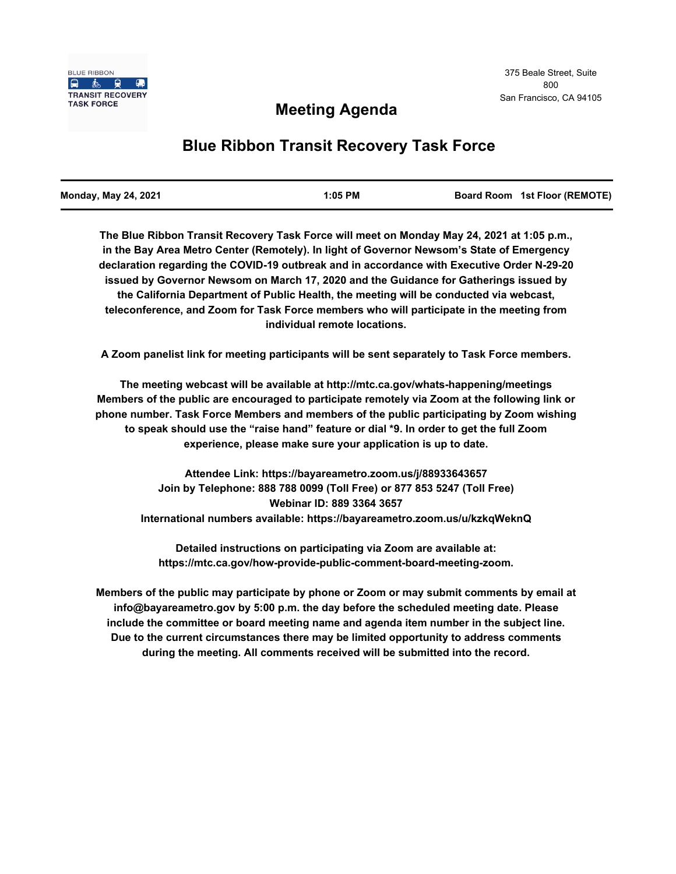# **Meeting Agenda**

# **Blue Ribbon Transit Recovery Task Force**

| <b>Monday, May 24, 2021</b> | $1:05$ PM | Board Room 1st Floor (REMOTE) |
|-----------------------------|-----------|-------------------------------|
|                             |           |                               |

**The Blue Ribbon Transit Recovery Task Force will meet on Monday May 24, 2021 at 1:05 p.m., in the Bay Area Metro Center (Remotely). In light of Governor Newsom's State of Emergency declaration regarding the COVID-19 outbreak and in accordance with Executive Order N-29-20 issued by Governor Newsom on March 17, 2020 and the Guidance for Gatherings issued by the California Department of Public Health, the meeting will be conducted via webcast, teleconference, and Zoom for Task Force members who will participate in the meeting from individual remote locations.** 

**A Zoom panelist link for meeting participants will be sent separately to Task Force members.**

**The meeting webcast will be available at http://mtc.ca.gov/whats-happening/meetings Members of the public are encouraged to participate remotely via Zoom at the following link or phone number. Task Force Members and members of the public participating by Zoom wishing to speak should use the "raise hand" feature or dial \*9. In order to get the full Zoom experience, please make sure your application is up to date.**

**Attendee Link: https://bayareametro.zoom.us/j/88933643657 Join by Telephone: 888 788 0099 (Toll Free) or 877 853 5247 (Toll Free) Webinar ID: 889 3364 3657 International numbers available: https://bayareametro.zoom.us/u/kzkqWeknQ**

**Detailed instructions on participating via Zoom are available at: https://mtc.ca.gov/how-provide-public-comment-board-meeting-zoom.**

**Members of the public may participate by phone or Zoom or may submit comments by email at info@bayareametro.gov by 5:00 p.m. the day before the scheduled meeting date. Please include the committee or board meeting name and agenda item number in the subject line. Due to the current circumstances there may be limited opportunity to address comments during the meeting. All comments received will be submitted into the record.**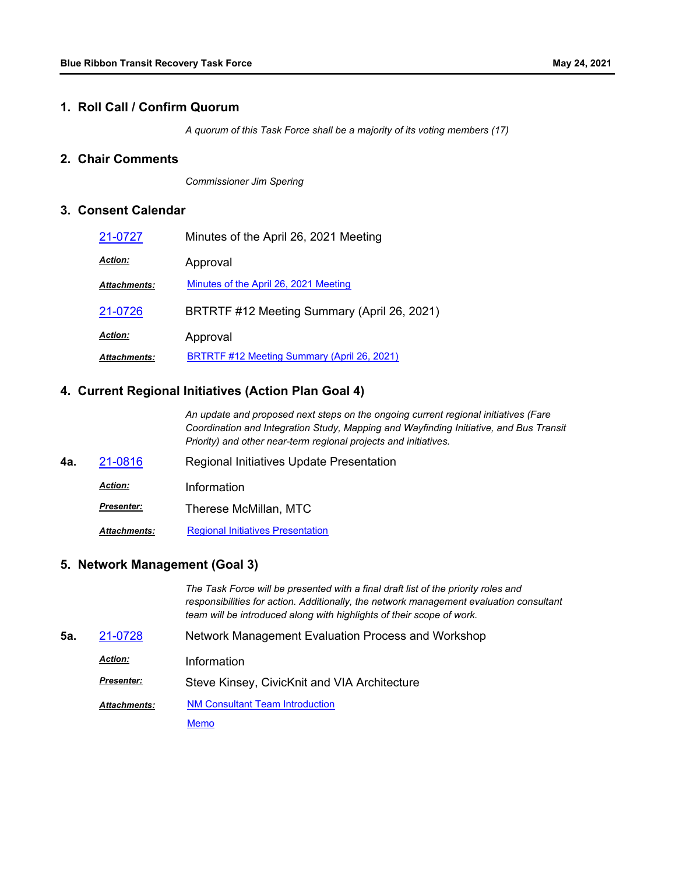#### **1. Roll Call / Confirm Quorum**

*A quorum of this Task Force shall be a majority of its voting members (17)*

# **2. Chair Comments**

*Commissioner Jim Spering*

# **3. Consent Calendar**

| 21-0727             | Minutes of the April 26, 2021 Meeting       |  |
|---------------------|---------------------------------------------|--|
| <b>Action:</b>      | Approval                                    |  |
| <b>Attachments:</b> | Minutes of the April 26, 2021 Meeting       |  |
| 21-0726             | BRTRTF #12 Meeting Summary (April 26, 2021) |  |
| <b>Action:</b>      | Approval                                    |  |
| <b>Attachments:</b> | BRTRTF #12 Meeting Summary (April 26, 2021) |  |

# **4. Current Regional Initiatives (Action Plan Goal 4)**

*An update and proposed next steps on the ongoing current regional initiatives (Fare Coordination and Integration Study, Mapping and Wayfinding Initiative, and Bus Transit Priority) and other near-term regional projects and initiatives.*

**4a.** [21-0816](http://mtc.legistar.com/gateway.aspx?m=l&id=/matter.aspx?key=22409) Regional Initiatives Update Presentation *Action:* Information *Presenter:* Therese McMillan, MTC **Attachments:** [Regional Initiatives Presentation](http://mtc.legistar.com/gateway.aspx?M=F&ID=0becf9ea-c0e3-4574-8dd1-181ebf4951b2.pdf)

### **5. Network Management (Goal 3)**

*The Task Force will be presented with a final draft list of the priority roles and responsibilities for action. Additionally, the network management evaluation consultant team will be introduced along with highlights of their scope of work.*

- **5a.** [21-0728](http://mtc.legistar.com/gateway.aspx?m=l&id=/matter.aspx?key=22321) Network Management Evaluation Process and Workshop
	- *Action:* Information

*Presenter:* Steve Kinsey, CivicKnit and VIA Architecture

[NM Consultant Team Introduction](http://mtc.legistar.com/gateway.aspx?M=F&ID=ea8552fd-67fb-4fcc-b383-81c485446a73.pdf) *Attachments:*

**[Memo](http://mtc.legistar.com/gateway.aspx?M=F&ID=85bdec8c-9262-4613-8b0a-a94533ae2cb0.pdf)**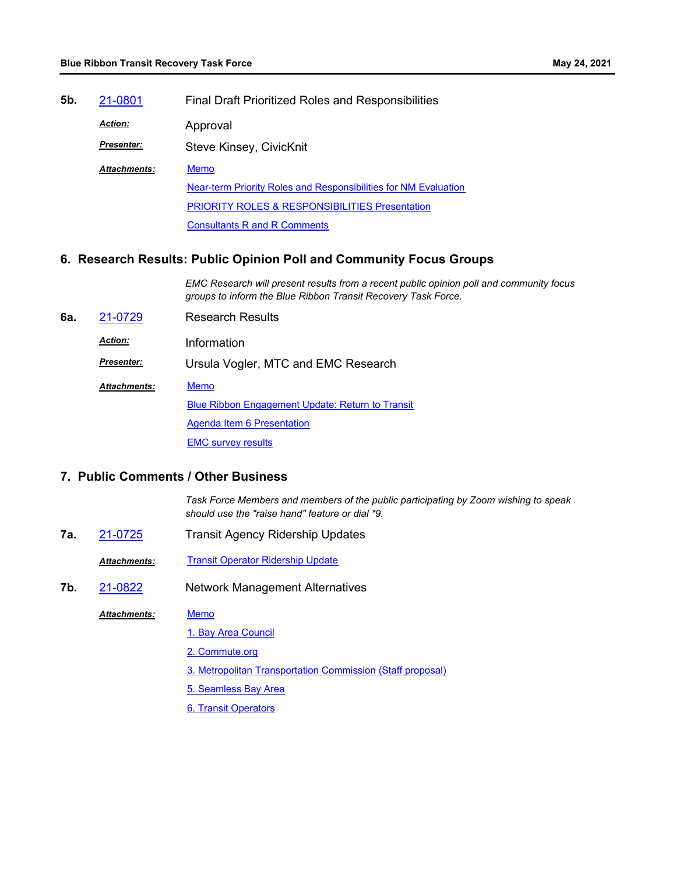| 5b. | 21-0801             | <b>Final Draft Prioritized Roles and Responsibilities</b>       |  |
|-----|---------------------|-----------------------------------------------------------------|--|
|     | <b>Action:</b>      | Approval                                                        |  |
|     | <b>Presenter:</b>   | Steve Kinsey, CivicKnit                                         |  |
|     | <b>Attachments:</b> | <b>Memo</b>                                                     |  |
|     |                     | Near-term Priority Roles and Responsibilities for NM Evaluation |  |
|     |                     | <b>PRIORITY ROLES &amp; RESPONSIBILITIES Presentation</b>       |  |
|     |                     | <b>Consultants R and R Comments</b>                             |  |
|     |                     |                                                                 |  |

### **6. Research Results: Public Opinion Poll and Community Focus Groups**

*EMC Research will present results from a recent public opinion poll and community focus groups to inform the Blue Ribbon Transit Recovery Task Force.*

- **6a.** [21-0729](http://mtc.legistar.com/gateway.aspx?m=l&id=/matter.aspx?key=22322) Research Results
	- *Action:* Information
	- *Presenter:* Ursula Vogler, MTC and EMC Research
	- **[Memo](http://mtc.legistar.com/gateway.aspx?M=F&ID=d952b09c-db4c-4088-be7a-62bc4dda7562.pdf)** *Attachments:*

[Blue Ribbon Engagement Update: Return to Transit](http://mtc.legistar.com/gateway.aspx?M=F&ID=12783543-5578-4bc6-a2d6-f528d07ea25e.pdf)

**[Agenda Item 6 Presentation](http://mtc.legistar.com/gateway.aspx?M=F&ID=9d596803-f550-44ff-9b63-3ebbf3a401c4.pdf)** 

**EMC** survey results

# **7. Public Comments / Other Business**

*Task Force Members and members of the public participating by Zoom wishing to speak should use the "raise hand" feature or dial \*9.*

- **7a.** [21-0725](http://mtc.legistar.com/gateway.aspx?m=l&id=/matter.aspx?key=22318) Transit Agency Ridership Updates
	- **Attachments: [Transit Operator Ridership Update](http://mtc.legistar.com/gateway.aspx?M=F&ID=ee35c712-ac5a-4696-8348-4367711c4069.pdf)**
- **7b.** [21-0822](http://mtc.legistar.com/gateway.aspx?m=l&id=/matter.aspx?key=22415) Network Management Alternatives

#### **[Memo](http://mtc.legistar.com/gateway.aspx?M=F&ID=839d7f76-daab-45cf-bec1-de957ef70d1d.pdf)** *Attachments:*

- [1. Bay Area Council](http://mtc.legistar.com/gateway.aspx?M=F&ID=63aedf5b-206e-457a-aa11-ce51064be050.pdf)
- [2. Commute.org](http://mtc.legistar.com/gateway.aspx?M=F&ID=59335271-6a9b-4281-88c7-de3014258211.pdf)
- [3. Metropolitan Transportation Commission \(Staff proposal\)](http://mtc.legistar.com/gateway.aspx?M=F&ID=aa2c54e5-d98a-46ac-afd2-2475f42609f8.pdf)
- [5. Seamless Bay Area](http://mtc.legistar.com/gateway.aspx?M=F&ID=0bc9b236-225d-4119-bc94-4fda8de59309.pdf)
- [6. Transit Operators](http://mtc.legistar.com/gateway.aspx?M=F&ID=fbfade90-3dad-42ea-9970-3a63f3100a5b.pdf)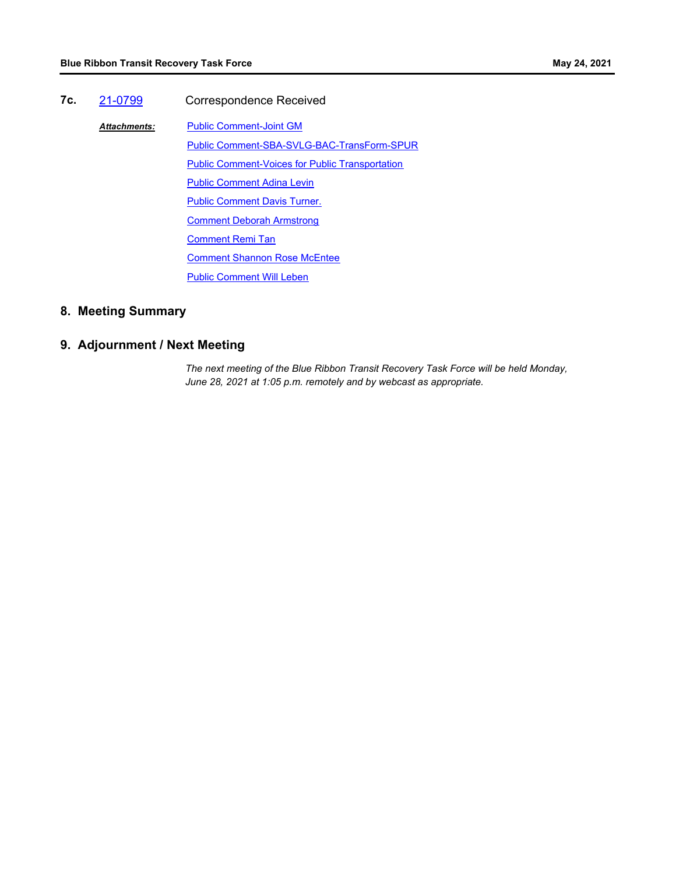**7c.** [21-0799](http://mtc.legistar.com/gateway.aspx?m=l&id=/matter.aspx?key=22392) Correspondence Received [Public Comment-Joint GM](http://mtc.legistar.com/gateway.aspx?M=F&ID=e1dbb0d6-19f1-443b-8c8d-3fa4f7567cff.pdf) [Public Comment-SBA-SVLG-BAC-TransForm-SPUR](http://mtc.legistar.com/gateway.aspx?M=F&ID=64086800-a0fb-4b3a-ba97-ee6f69e6ccb0.pdf) [Public Comment-Voices for Public Transportation](http://mtc.legistar.com/gateway.aspx?M=F&ID=bd9beb0f-47d3-482e-a277-190c3468bbc0.pdf) [Public Comment Adina Levin](http://mtc.legistar.com/gateway.aspx?M=F&ID=1417cbf3-f148-40d9-aafd-58c43a26e045.pdf) **[Public Comment Davis Turner.](http://mtc.legistar.com/gateway.aspx?M=F&ID=2d8268b9-4e74-4943-b2ad-b82db67eb73e.pdf)** [Comment Deborah Armstrong](http://mtc.legistar.com/gateway.aspx?M=F&ID=c9471012-5e81-4d8e-b45e-7d5d97378ba6.pdf) [Comment Remi Tan](http://mtc.legistar.com/gateway.aspx?M=F&ID=8486014c-90b8-4181-933a-4d6dad1c8d77.pdf) **[Comment Shannon Rose McEntee](http://mtc.legistar.com/gateway.aspx?M=F&ID=1258344a-d025-4560-bc4e-ab850b0ed7b1.pdf)** [Public Comment Will Leben](http://mtc.legistar.com/gateway.aspx?M=F&ID=eb4647ee-9d36-43e1-a008-76e71ceff037.pdf) *Attachments:*

# **8. Meeting Summary**

# **9. Adjournment / Next Meeting**

*The next meeting of the Blue Ribbon Transit Recovery Task Force will be held Monday, June 28, 2021 at 1:05 p.m. remotely and by webcast as appropriate.*